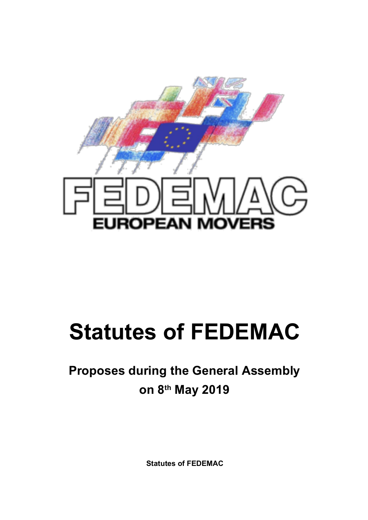

# **Statutes of FEDEMAC**

# **Proposes during the General Assembly on 8th May 2019**

**Statutes of FEDEMAC**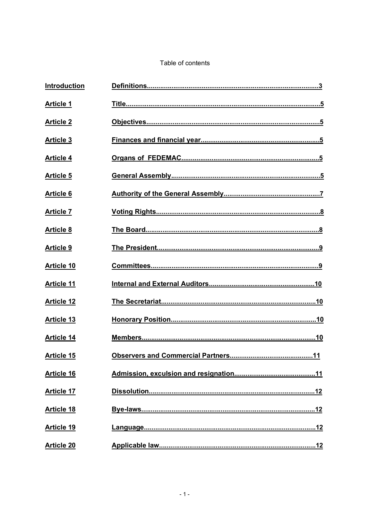#### Table of contents

| Introduction      |     |
|-------------------|-----|
| <b>Article 1</b>  |     |
| <b>Article 2</b>  |     |
| <b>Article 3</b>  |     |
| <b>Article 4</b>  |     |
| <b>Article 5</b>  |     |
| <b>Article 6</b>  |     |
| <b>Article 7</b>  |     |
| <b>Article 8</b>  |     |
| <b>Article 9</b>  |     |
| <b>Article 10</b> |     |
| <b>Article 11</b> |     |
| <b>Article 12</b> |     |
| <b>Article 13</b> |     |
| <b>Article 14</b> |     |
| <b>Article 15</b> | .11 |
| <b>Article 16</b> |     |
| <b>Article 17</b> |     |
| <b>Article 18</b> |     |
| <b>Article 19</b> |     |
| <b>Article 20</b> |     |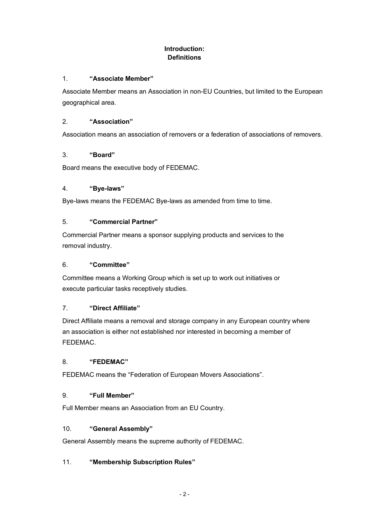# **Introduction: Definitions**

#### 1. **"Associate Member"**

Associate Member means an Association in non-EU Countries, but limited to the European geographical area.

#### 2. **"Association"**

Association means an association of removers or a federation of associations of removers.

#### 3. **"Board"**

Board means the executive body of FEDEMAC.

#### 4. **"Bye-laws"**

Bye-laws means the FEDEMAC Bye-laws as amended from time to time.

#### 5. **"Commercial Partner"**

Commercial Partner means a sponsor supplying products and services to the removal industry.

#### 6. **"Committee"**

Committee means a Working Group which is set up to work out initiatives or execute particular tasks receptively studies.

#### 7. **"Direct Affiliate"**

Direct Affiliate means a removal and storage company in any European country where an association is either not established nor interested in becoming a member of FEDEMAC.

#### 8. **"FEDEMAC"**

FEDEMAC means the "Federation of European Movers Associations".

#### 9. **"Full Member"**

Full Member means an Association from an EU Country.

#### 10. **"General Assembly"**

General Assembly means the supreme authority of FEDEMAC.

# 11. **"Membership Subscription Rules"**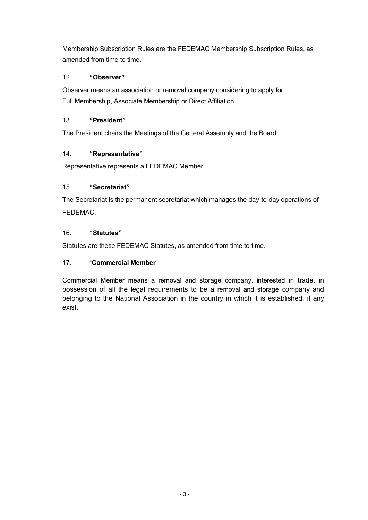Membership Subscription Rules are the FEDEMAC Membership Subscription Rules, as amended from time to time.

# 12. **"Observer"**

Observer means an association or removal company considering to apply for Full Membership, Associate Membership or Direct Affiliation.

# 13. **"President"**

The President chairs the Meetings of the General Assembly and the Board.

# 14. **"Representative"**

Representative represents a FEDEMAC Member.

# 15. **"Secretariat"**

The Secretariat is the permanent secretariat which manages the day-to-day operations of FEDEMAC.

# 16. **"Statutes"**

Statutes are these FEDEMAC Statutes, as amended from time to time.

# 17. "**Commercial Member**"

Commercial Member means a removal and storage company, interested in trade, in possession of all the legal requirements to be a removal and storage company and belonging to the National Association in the country in which it is established, if any exist.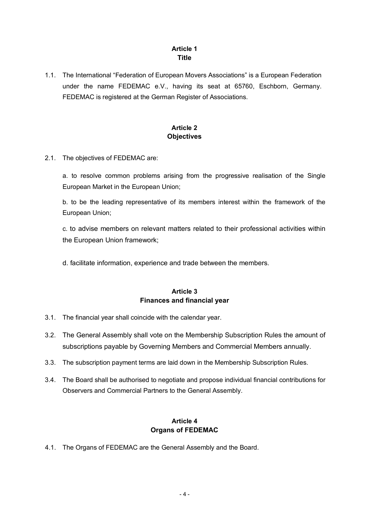# **Article 1 Title**

1.1. The International "Federation of European Movers Associations" is a European Federation under the name FEDEMAC e.V., having its seat at 65760, Eschborn, Germany. FEDEMAC is registered at the German Register of Associations.

# **Article 2 Objectives**

2.1. The objectives of FEDEMAC are:

a. to resolve common problems arising from the progressive realisation of the Single European Market in the European Union;

b. to be the leading representative of its members interest within the framework of the European Union;

c. to advise members on relevant matters related to their professional activities within the European Union framework;

d. facilitate information, experience and trade between the members.

# **Article 3 Finances and financial year**

- 3.1. The financial year shall coincide with the calendar year.
- 3.2. The General Assembly shall vote on the Membership Subscription Rules the amount of subscriptions payable by Governing Members and Commercial Members annually.
- 3.3. The subscription payment terms are laid down in the Membership Subscription Rules.
- 3.4. The Board shall be authorised to negotiate and propose individual financial contributions for Observers and Commercial Partners to the General Assembly.

#### **Article 4 Organs of FEDEMAC**

4.1. The Organs of FEDEMAC are the General Assembly and the Board.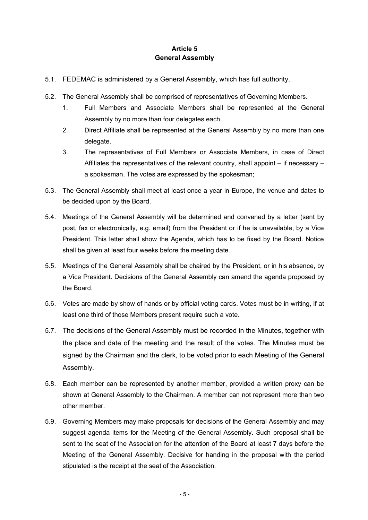# **Article 5 General Assembly**

- 5.1. FEDEMAC is administered by a General Assembly, which has full authority.
- 5.2. The General Assembly shall be comprised of representatives of Governing Members.
	- 1. Full Members and Associate Members shall be represented at the General Assembly by no more than four delegates each.
	- 2. Direct Affiliate shall be represented at the General Assembly by no more than one delegate.
	- 3. The representatives of Full Members or Associate Members, in case of Direct Affiliates the representatives of the relevant country, shall appoint – if necessary – a spokesman. The votes are expressed by the spokesman;
- 5.3. The General Assembly shall meet at least once a year in Europe, the venue and dates to be decided upon by the Board.
- 5.4. Meetings of the General Assembly will be determined and convened by a letter (sent by post, fax or electronically, e.g. email) from the President or if he is unavailable, by a Vice President. This letter shall show the Agenda, which has to be fixed by the Board. Notice shall be given at least four weeks before the meeting date.
- 5.5. Meetings of the General Assembly shall be chaired by the President, or in his absence, by a Vice President. Decisions of the General Assembly can amend the agenda proposed by the Board.
- 5.6. Votes are made by show of hands or by official voting cards. Votes must be in writing, if at least one third of those Members present require such a vote.
- 5.7. The decisions of the General Assembly must be recorded in the Minutes, together with the place and date of the meeting and the result of the votes. The Minutes must be signed by the Chairman and the clerk, to be voted prior to each Meeting of the General Assembly.
- 5.8. Each member can be represented by another member, provided a written proxy can be shown at General Assembly to the Chairman. A member can not represent more than two other member.
- 5.9. Governing Members may make proposals for decisions of the General Assembly and may suggest agenda items for the Meeting of the General Assembly. Such proposal shall be sent to the seat of the Association for the attention of the Board at least 7 days before the Meeting of the General Assembly. Decisive for handing in the proposal with the period stipulated is the receipt at the seat of the Association.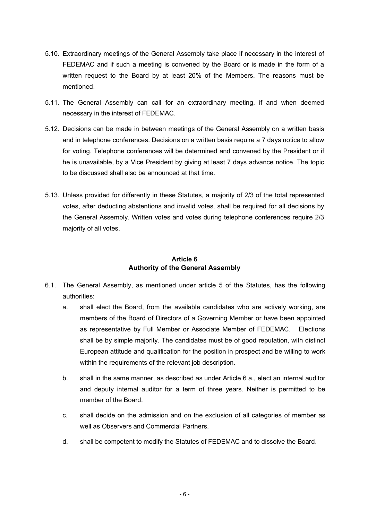- 5.10. Extraordinary meetings of the General Assembly take place if necessary in the interest of FEDEMAC and if such a meeting is convened by the Board or is made in the form of a written request to the Board by at least 20% of the Members. The reasons must be mentioned.
- 5.11. The General Assembly can call for an extraordinary meeting, if and when deemed necessary in the interest of FEDEMAC.
- 5.12. Decisions can be made in between meetings of the General Assembly on a written basis and in telephone conferences. Decisions on a written basis require a 7 days notice to allow for voting. Telephone conferences will be determined and convened by the President or if he is unavailable, by a Vice President by giving at least 7 days advance notice. The topic to be discussed shall also be announced at that time.
- 5.13. Unless provided for differently in these Statutes, a majority of 2/3 of the total represented votes, after deducting abstentions and invalid votes, shall be required for all decisions by the General Assembly. Written votes and votes during telephone conferences require 2/3 majority of all votes.

# **Article 6 Authority of the General Assembly**

- 6.1. The General Assembly, as mentioned under article 5 of the Statutes, has the following authorities:
	- a. shall elect the Board, from the available candidates who are actively working, are members of the Board of Directors of a Governing Member or have been appointed as representative by Full Member or Associate Member of FEDEMAC. Elections shall be by simple majority. The candidates must be of good reputation, with distinct European attitude and qualification for the position in prospect and be willing to work within the requirements of the relevant job description.
	- b. shall in the same manner, as described as under Article 6 a., elect an internal auditor and deputy internal auditor for a term of three years. Neither is permitted to be member of the Board.
	- c. shall decide on the admission and on the exclusion of all categories of member as well as Observers and Commercial Partners.
	- d. shall be competent to modify the Statutes of FEDEMAC and to dissolve the Board.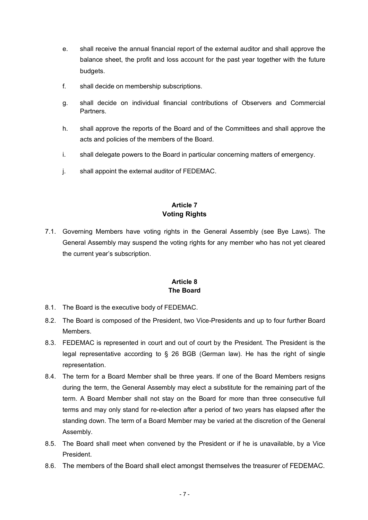- e. shall receive the annual financial report of the external auditor and shall approve the balance sheet, the profit and loss account for the past year together with the future budgets.
- f. shall decide on membership subscriptions.
- g. shall decide on individual financial contributions of Observers and Commercial Partners.
- h. shall approve the reports of the Board and of the Committees and shall approve the acts and policies of the members of the Board.
- i. shall delegate powers to the Board in particular concerning matters of emergency.
- j. shall appoint the external auditor of FEDEMAC.

# **Article 7 Voting Rights**

7.1. Governing Members have voting rights in the General Assembly (see Bye Laws). The General Assembly may suspend the voting rights for any member who has not yet cleared the current year's subscription.

#### **Article 8 The Board**

- 8.1. The Board is the executive body of FEDEMAC.
- 8.2. The Board is composed of the President, two Vice-Presidents and up to four further Board **Members**
- 8.3. FEDEMAC is represented in court and out of court by the President. The President is the legal representative according to § 26 BGB (German law). He has the right of single representation.
- 8.4. The term for a Board Member shall be three years. If one of the Board Members resigns during the term, the General Assembly may elect a substitute for the remaining part of the term. A Board Member shall not stay on the Board for more than three consecutive full terms and may only stand for re-election after a period of two years has elapsed after the standing down. The term of a Board Member may be varied at the discretion of the General Assembly.
- 8.5. The Board shall meet when convened by the President or if he is unavailable, by a Vice President.
- 8.6. The members of the Board shall elect amongst themselves the treasurer of FEDEMAC.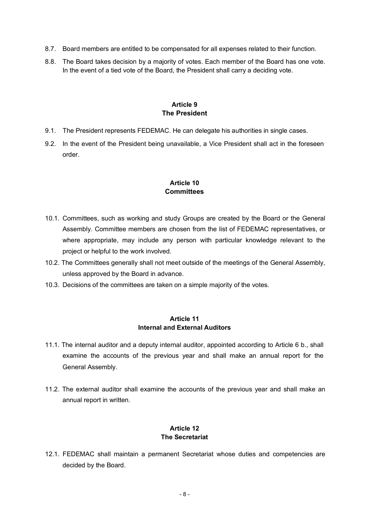- 8.7. Board members are entitled to be compensated for all expenses related to their function.
- 8.8. The Board takes decision by a majority of votes. Each member of the Board has one vote. In the event of a tied vote of the Board, the President shall carry a deciding vote.

#### **Article 9 The President**

- 9.1. The President represents FEDEMAC. He can delegate his authorities in single cases.
- 9.2. In the event of the President being unavailable, a Vice President shall act in the foreseen order.

#### **Article 10 Committees**

- 10.1. Committees, such as working and study Groups are created by the Board or the General Assembly. Committee members are chosen from the list of FEDEMAC representatives, or where appropriate, may include any person with particular knowledge relevant to the project or helpful to the work involved.
- 10.2. The Committees generally shall not meet outside of the meetings of the General Assembly, unless approved by the Board in advance.
- 10.3. Decisions of the committees are taken on a simple majority of the votes.

#### **Article 11 Internal and External Auditors**

- 11.1. The internal auditor and a deputy internal auditor, appointed according to Article 6 b., shall examine the accounts of the previous year and shall make an annual report for the General Assembly.
- 11.2. The external auditor shall examine the accounts of the previous year and shall make an annual report in written.

#### **Article 12 The Secretariat**

12.1. FEDEMAC shall maintain a permanent Secretariat whose duties and competencies are decided by the Board.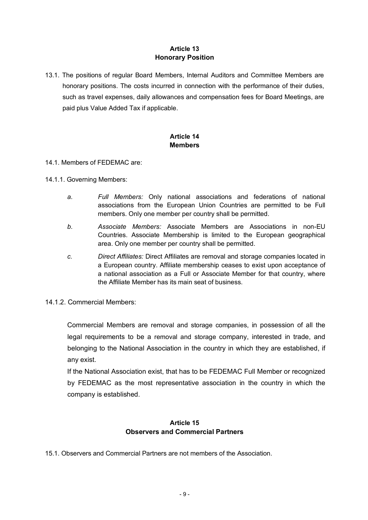#### **Article 13 Honorary Position**

13.1. The positions of regular Board Members, Internal Auditors and Committee Members are honorary positions. The costs incurred in connection with the performance of their duties, such as travel expenses, daily allowances and compensation fees for Board Meetings, are paid plus Value Added Tax if applicable.

#### **Article 14 Members**

#### 14.1. Members of FEDEMAC are:

- 14.1.1. Governing Members:
	- *a. Full Members:* Only national associations and federations of national associations from the European Union Countries are permitted to be Full members. Only one member per country shall be permitted.
	- *b. Associate Members:* Associate Members are Associations in non-EU Countries. Associate Membership is limited to the European geographical area. Only one member per country shall be permitted.
	- *c. Direct Affiliates:* Direct Affiliates are removal and storage companies located in a European country. Affiliate membership ceases to exist upon acceptance of a national association as a Full or Associate Member for that country, where the Affiliate Member has its main seat of business.
- 14.1.2. Commercial Members:

Commercial Members are removal and storage companies, in possession of all the legal requirements to be a removal and storage company, interested in trade, and belonging to the National Association in the country in which they are established, if any exist.

If the National Association exist, that has to be FEDEMAC Full Member or recognized by FEDEMAC as the most representative association in the country in which the company is established.

# **Article 15 Observers and Commercial Partners**

15.1. Observers and Commercial Partners are not members of the Association.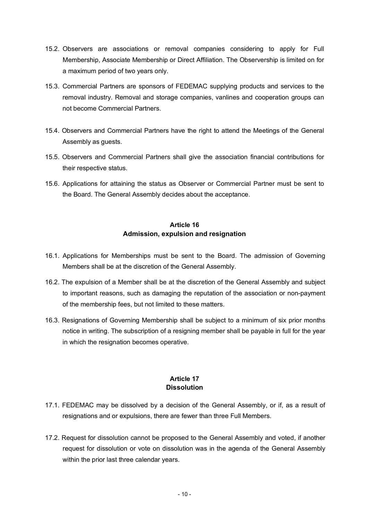- 15.2. Observers are associations or removal companies considering to apply for Full Membership, Associate Membership or Direct Affiliation. The Observership is limited on for a maximum period of two years only.
- 15.3. Commercial Partners are sponsors of FEDEMAC supplying products and services to the removal industry. Removal and storage companies, vanlines and cooperation groups can not become Commercial Partners.
- 15.4. Observers and Commercial Partners have the right to attend the Meetings of the General Assembly as guests.
- 15.5. Observers and Commercial Partners shall give the association financial contributions for their respective status.
- 15.6. Applications for attaining the status as Observer or Commercial Partner must be sent to the Board. The General Assembly decides about the acceptance.

#### **Article 16 Admission, expulsion and resignation**

- 16.1. Applications for Memberships must be sent to the Board. The admission of Governing Members shall be at the discretion of the General Assembly.
- 16.2. The expulsion of a Member shall be at the discretion of the General Assembly and subject to important reasons, such as damaging the reputation of the association or non-payment of the membership fees, but not limited to these matters.
- 16.3. Resignations of Governing Membership shall be subject to a minimum of six prior months notice in writing. The subscription of a resigning member shall be payable in full for the year in which the resignation becomes operative.

#### **Article 17 Dissolution**

- 17.1. FEDEMAC may be dissolved by a decision of the General Assembly, or if, as a result of resignations and or expulsions, there are fewer than three Full Members.
- 17.2. Request for dissolution cannot be proposed to the General Assembly and voted, if another request for dissolution or vote on dissolution was in the agenda of the General Assembly within the prior last three calendar years.